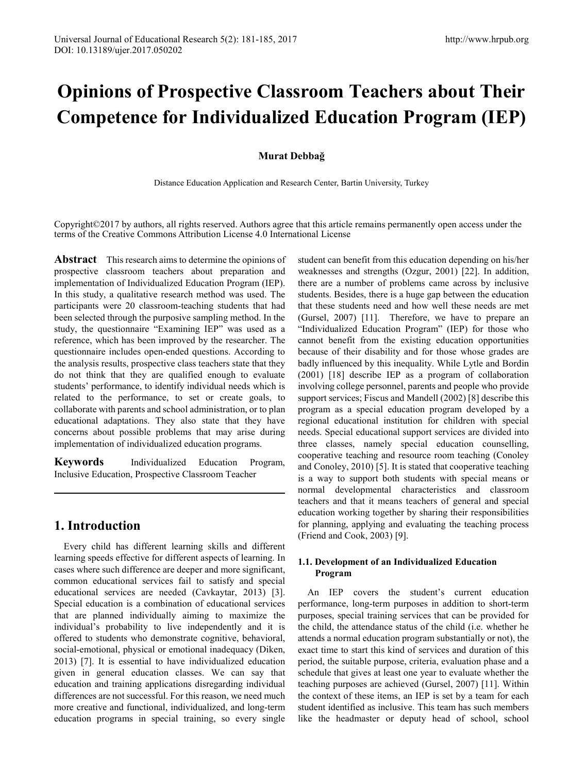# **Opinions of Prospective Classroom Teachers about Their Competence for Individualized Education Program (IEP)**

### **Murat Debbağ**

Distance Education Application and Research Center, Bartin University, Turkey

Copyright©2017 by authors, all rights reserved. Authors agree that this article remains permanently open access under the terms of the Creative Commons Attribution License 4.0 International License

**Abstract** This research aims to determine the opinions of prospective classroom teachers about preparation and implementation of Individualized Education Program (IEP). In this study, a qualitative research method was used. The participants were 20 classroom-teaching students that had been selected through the purposive sampling method. In the study, the questionnaire "Examining IEP" was used as a reference, which has been improved by the researcher. The questionnaire includes open-ended questions. According to the analysis results, prospective class teachers state that they do not think that they are qualified enough to evaluate students' performance, to identify individual needs which is related to the performance, to set or create goals, to collaborate with parents and school administration, or to plan educational adaptations. They also state that they have concerns about possible problems that may arise during implementation of individualized education programs.

**Keywords** Individualized Education Program, Inclusive Education, Prospective Classroom Teacher

# **1. Introduction**

Every child has different learning skills and different learning speeds effective for different aspects of learning. In cases where such difference are deeper and more significant, common educational services fail to satisfy and special educational services are needed (Cavkaytar, 2013) [3]. Special education is a combination of educational services that are planned individually aiming to maximize the individual's probability to live independently and it is offered to students who demonstrate cognitive, behavioral, social-emotional, physical or emotional inadequacy (Diken, 2013) [7]. It is essential to have individualized education given in general education classes. We can say that education and training applications disregarding individual differences are not successful. For this reason, we need much more creative and functional, individualized, and long-term education programs in special training, so every single

student can benefit from this education depending on his/her weaknesses and strengths (Ozgur, 2001) [22]. In addition, there are a number of problems came across by inclusive students. Besides, there is a huge gap between the education that these students need and how well these needs are met (Gursel, 2007) [11]. Therefore, we have to prepare an "Individualized Education Program" (IEP) for those who cannot benefit from the existing education opportunities because of their disability and for those whose grades are badly influenced by this inequality. While Lytle and Bordin (2001) [18] describe IEP as a program of collaboration involving college personnel, parents and people who provide support services; Fiscus and Mandell (2002) [8] describe this program as a special education program developed by a regional educational institution for children with special needs. Special educational support services are divided into three classes, namely special education counselling, cooperative teaching and resource room teaching (Conoley and Conoley, 2010) [5]. It is stated that cooperative teaching is a way to support both students with special means or normal developmental characteristics and classroom teachers and that it means teachers of general and special education working together by sharing their responsibilities for planning, applying and evaluating the teaching process (Friend and Cook, 2003) [9].

## **1.1. Development of an Individualized Education Program**

An IEP covers the student's current education performance, long-term purposes in addition to short-term purposes, special training services that can be provided for the child, the attendance status of the child (i.e. whether he attends a normal education program substantially or not), the exact time to start this kind of services and duration of this period, the suitable purpose, criteria, evaluation phase and a schedule that gives at least one year to evaluate whether the teaching purposes are achieved (Gursel, 2007) [11]. Within the context of these items, an IEP is set by a team for each student identified as inclusive. This team has such members like the headmaster or deputy head of school, school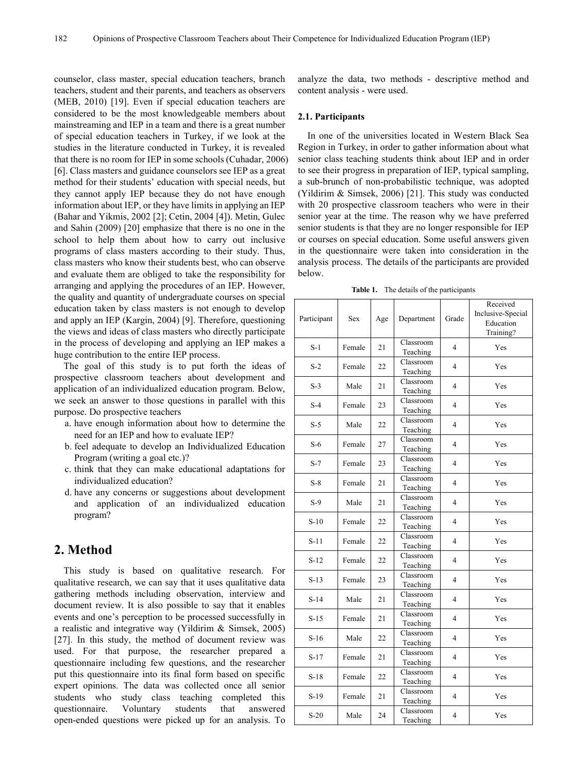counselor, class master, special education teachers, branch teachers, student and their parents, and teachers as observers (MEB, 2010) [19]. Even if special education teachers are considered to be the most knowledgeable members about mainstreaming and IEP in a team and there is a great number of special education teachers in Turkey, if we look at the studies in the literature conducted in Turkey, it is revealed that there is no room for IEP in some schools (Cuhadar, 2006) [6]. Class masters and guidance counselors see IEP as a great method for their students' education with special needs, but they cannot apply IEP because they do not have enough information about IEP, or they have limits in applying an IEP (Bahar and Yikmis, 2002 [2]; Cetin, 2004 [4]). Metin, Gulec and Sahin (2009) [20] emphasize that there is no one in the school to help them about how to carry out inclusive programs of class masters according to their study. Thus, class masters who know their students best, who can observe and evaluate them are obliged to take the responsibility for arranging and applying the procedures of an IEP. However, the quality and quantity of undergraduate courses on special education taken by class masters is not enough to develop and apply an IEP (Kargin, 2004) [9]. Therefore, questioning the views and ideas of class masters who directly participate in the process of developing and applying an IEP makes a huge contribution to the entire IEP process.

The goal of this study is to put forth the ideas of prospective classroom teachers about development and application of an individualized education program. Below, we seek an answer to those questions in parallel with this purpose. Do prospective teachers

- a. have enough information about how to determine the need for an IEP and how to evaluate IEP?
- b. feel adequate to develop an Individualized Education Program (writing a goal etc.)?
- c. think that they can make educational adaptations for individualized education?
- d. have any concerns or suggestions about development and application of an individualized education program?

## **2. Method**

This study is based on qualitative research. For qualitative research, we can say that it uses qualitative data gathering methods including observation, interview and document review. It is also possible to say that it enables events and one's perception to be processed successfully in a realistic and integrative way (Yildirim & Simsek, 2005) [27]. In this study, the method of document review was used. For that purpose, the researcher prepared a questionnaire including few questions, and the researcher put this questionnaire into its final form based on specific expert opinions. The data was collected once all senior students who study class teaching completed this questionnaire. Voluntary students that answered open-ended questions were picked up for an analysis. To

analyze the data, two methods - descriptive method and content analysis - were used.

#### **2.1. Participants**

In one of the universities located in Western Black Sea Region in Turkey, in order to gather information about what senior class teaching students think about IEP and in order to see their progress in preparation of IEP, typical sampling, a sub-brunch of non-probabilistic technique, was adopted (Yildirim & Simsek, 2006) [21]. This study was conducted with 20 prospective classroom teachers who were in their senior year at the time. The reason why we have preferred senior students is that they are no longer responsible for IEP or courses on special education. Some useful answers given in the questionnaire were taken into consideration in the analysis process. The details of the participants are provided below.

**Table 1.** The details of the participants

| Participant | <b>Sex</b> | Age | Department            | Grade                    | Received<br>Inclusive-Special<br>Education<br>Training? |
|-------------|------------|-----|-----------------------|--------------------------|---------------------------------------------------------|
| $S-1$       | Female     | 21  | Classroom<br>Teaching | 4                        | Yes                                                     |
| $S-2$       | Female     | 22  | Classroom<br>Teaching | 4                        | Yes                                                     |
| $S-3$       | Male       | 21  | Classroom<br>Teaching | 4                        | Yes                                                     |
| $S-4$       | Female     | 23  | Classroom<br>Teaching | $\overline{\mathcal{L}}$ | Yes                                                     |
| $S-5$       | Male       | 22  | Classroom<br>Teaching | $\overline{\mathcal{L}}$ | Yes                                                     |
| $S-6$       | Female     | 27  | Classroom<br>Teaching | 4                        | Yes                                                     |
| $S-7$       | Female     | 23  | Classroom<br>Teaching | 4                        | Yes                                                     |
| $S-8$       | Female     | 21  | Classroom<br>Teaching | 4                        | Yes                                                     |
| $S-9$       | Male       | 21  | Classroom<br>Teaching | $\overline{\mathcal{L}}$ | Yes                                                     |
| $S-10$      | Female     | 22  | Classroom<br>Teaching | 4                        | Yes                                                     |
| $S-11$      | Female     | 22  | Classroom<br>Teaching | $\overline{\mathcal{L}}$ | Yes                                                     |
| $S-12$      | Female     | 22  | Classroom<br>Teaching | $\overline{\mathcal{L}}$ | Yes                                                     |
| $S-13$      | Female     | 23  | Classroom<br>Teaching | 4                        | Yes                                                     |
| $S-14$      | Male       | 21  | Classroom<br>Teaching | $\overline{\mathcal{L}}$ | Yes                                                     |
| $S-15$      | Female     | 21  | Classroom<br>Teaching | $\overline{\mathcal{L}}$ | Yes                                                     |
| $S-16$      | Male       | 22  | Classroom<br>Teaching | $\overline{\mathcal{L}}$ | Yes                                                     |
| $S-17$      | Female     | 21  | Classroom<br>Teaching | 4                        | Yes                                                     |
| $S-18$      | Female     | 22  | Classroom<br>Teaching | 4                        | Yes                                                     |
| $S-19$      | Female     | 21  | Classroom<br>Teaching | $\overline{\mathcal{L}}$ | Yes                                                     |
| $S-20$      | Male       | 24  | Classroom<br>Teaching | 4                        | Yes                                                     |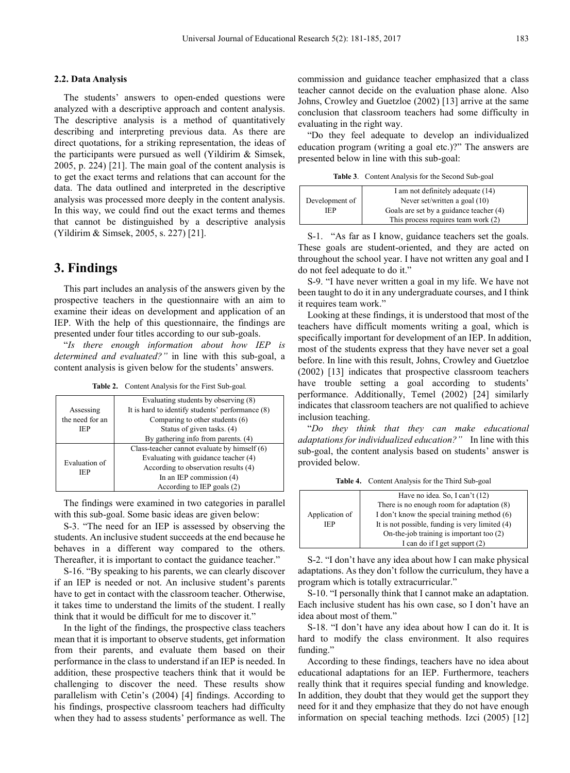#### **2.2. Data Analysis**

The students' answers to open-ended questions were analyzed with a descriptive approach and content analysis. The descriptive analysis is a method of quantitatively describing and interpreting previous data. As there are direct quotations, for a striking representation, the ideas of the participants were pursued as well (Yildirim & Simsek, 2005, p. 224) [21]. The main goal of the content analysis is to get the exact terms and relations that can account for the data. The data outlined and interpreted in the descriptive analysis was processed more deeply in the content analysis. In this way, we could find out the exact terms and themes that cannot be distinguished by a descriptive analysis (Yildirim & Simsek, 2005, s. 227) [21].

## **3. Findings**

This part includes an analysis of the answers given by the prospective teachers in the questionnaire with an aim to examine their ideas on development and application of an IEP. With the help of this questionnaire, the findings are presented under four titles according to our sub-goals.

"*Is there enough information about how IEP is determined and evaluated?"* in line with this sub-goal, a content analysis is given below for the students' answers.

| <b>Table 2.</b> Content Analysis for the First Sub-goal. |  |  |  |
|----------------------------------------------------------|--|--|--|
|                                                          |  |  |  |

|                             | Evaluating students by observing (8)             |  |  |
|-----------------------------|--------------------------------------------------|--|--|
| Assessing                   | It is hard to identify students' performance (8) |  |  |
| the need for an             | Comparing to other students (6)                  |  |  |
| <b>IEP</b>                  | Status of given tasks. (4)                       |  |  |
|                             | By gathering info from parents. (4)              |  |  |
| Evaluation of<br><b>IEP</b> | Class-teacher cannot evaluate by himself $(6)$   |  |  |
|                             | Evaluating with guidance teacher (4)             |  |  |
|                             | According to observation results (4)             |  |  |
|                             | In an IEP commission $(4)$                       |  |  |
|                             | According to IEP goals (2)                       |  |  |

The findings were examined in two categories in parallel with this sub-goal. Some basic ideas are given below:

S-3. "The need for an IEP is assessed by observing the students. An inclusive student succeeds at the end because he behaves in a different way compared to the others. Thereafter, it is important to contact the guidance teacher."

S-16. "By speaking to his parents, we can clearly discover if an IEP is needed or not. An inclusive student's parents have to get in contact with the classroom teacher. Otherwise, it takes time to understand the limits of the student. I really think that it would be difficult for me to discover it."

In the light of the findings, the prospective class teachers mean that it is important to observe students, get information from their parents, and evaluate them based on their performance in the class to understand if an IEP is needed. In addition, these prospective teachers think that it would be challenging to discover the need. These results show parallelism with Cetin's (2004) [4] findings. According to his findings, prospective classroom teachers had difficulty when they had to assess students' performance as well. The

commission and guidance teacher emphasized that a class teacher cannot decide on the evaluation phase alone. Also Johns, Crowley and Guetzloe (2002) [13] arrive at the same conclusion that classroom teachers had some difficulty in evaluating in the right way.

"Do they feel adequate to develop an individualized education program (writing a goal etc.)?" The answers are presented below in line with this sub-goal:

**Table 3**. Content Analysis for the Second Sub-goal

|                | I am not definitely adequate (14)       |  |  |
|----------------|-----------------------------------------|--|--|
| Development of | Never set/written a goal $(10)$         |  |  |
| IEP.           | Goals are set by a guidance teacher (4) |  |  |
|                | This process requires team work $(2)$   |  |  |

S-1. "As far as I know, guidance teachers set the goals. These goals are student-oriented, and they are acted on throughout the school year. I have not written any goal and I do not feel adequate to do it."

S-9. "I have never written a goal in my life. We have not been taught to do it in any undergraduate courses, and I think it requires team work."

Looking at these findings, it is understood that most of the teachers have difficult moments writing a goal, which is specifically important for development of an IEP. In addition, most of the students express that they have never set a goal before. In line with this result, Johns, Crowley and Guetzloe (2002) [13] indicates that prospective classroom teachers have trouble setting a goal according to students' performance. Additionally, Temel (2002) [24] similarly indicates that classroom teachers are not qualified to achieve inclusion teaching.

"*Do they think that they can make educational adaptations for individualized education?"* In line with this sub-goal, the content analysis based on students' answer is provided below.

**Table 4.** Content Analysis for the Third Sub-goal

|                | Have no idea. So, I can't (12)                  |  |  |
|----------------|-------------------------------------------------|--|--|
|                | There is no enough room for adaptation $(8)$    |  |  |
| Application of | I don't know the special training method (6)    |  |  |
| IEP            | It is not possible, funding is very limited (4) |  |  |
|                | On-the-job training is important too $(2)$      |  |  |
|                | I can do if I get support $(2)$                 |  |  |

S-2. "I don't have any idea about how I can make physical adaptations. As they don't follow the curriculum, they have a program which is totally extracurricular."

S-10. "I personally think that I cannot make an adaptation. Each inclusive student has his own case, so I don't have an idea about most of them."

S-18. "I don't have any idea about how I can do it. It is hard to modify the class environment. It also requires funding."

According to these findings, teachers have no idea about educational adaptations for an IEP. Furthermore, teachers really think that it requires special funding and knowledge. In addition, they doubt that they would get the support they need for it and they emphasize that they do not have enough information on special teaching methods. Izci (2005) [12]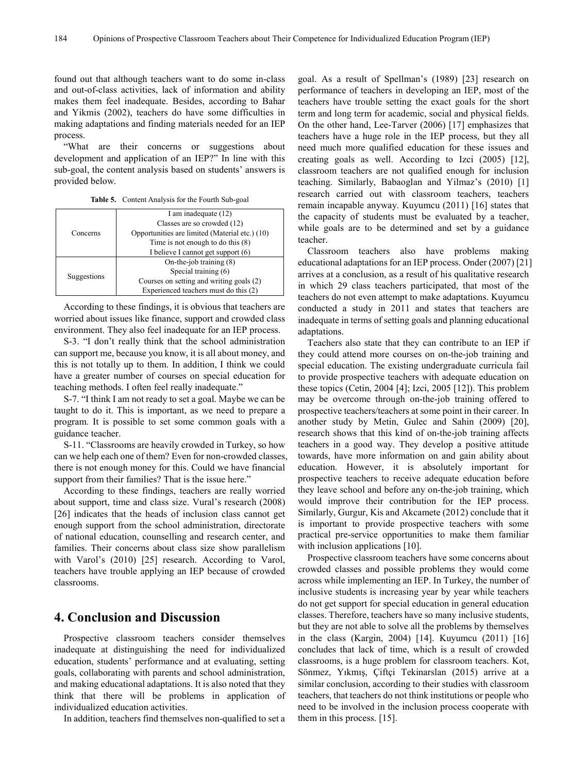found out that although teachers want to do some in-class and out-of-class activities, lack of information and ability makes them feel inadequate. Besides, according to Bahar and Yikmis (2002), teachers do have some difficulties in making adaptations and finding materials needed for an IEP process.

"What are their concerns or suggestions about development and application of an IEP?" In line with this sub-goal, the content analysis based on students' answers is provided below.

|  | <b>Table 5.</b> Content Analysis for the Fourth Sub-goal |  |  |  |  |
|--|----------------------------------------------------------|--|--|--|--|
|--|----------------------------------------------------------|--|--|--|--|

| Concerns    | I am inadequate (12)                           |  |  |
|-------------|------------------------------------------------|--|--|
|             | Classes are so crowded (12)                    |  |  |
|             | Opportunities are limited (Material etc.) (10) |  |  |
|             | Time is not enough to do this $(8)$            |  |  |
|             | I believe I cannot get support (6)             |  |  |
| Suggestions | On-the-job training $(8)$                      |  |  |
|             | Special training (6)                           |  |  |
|             | Courses on setting and writing goals (2)       |  |  |
|             | Experienced teachers must do this (2)          |  |  |

According to these findings, it is obvious that teachers are worried about issues like finance, support and crowded class environment. They also feel inadequate for an IEP process.

S-3. "I don't really think that the school administration can support me, because you know, it is all about money, and this is not totally up to them. In addition, I think we could have a greater number of courses on special education for teaching methods. I often feel really inadequate."

S-7. "I think I am not ready to set a goal. Maybe we can be taught to do it. This is important, as we need to prepare a program. It is possible to set some common goals with a guidance teacher.

S-11. "Classrooms are heavily crowded in Turkey, so how can we help each one of them? Even for non-crowded classes, there is not enough money for this. Could we have financial support from their families? That is the issue here."

According to these findings, teachers are really worried about support, time and class size. Vural's research (2008) [26] indicates that the heads of inclusion class cannot get enough support from the school administration, directorate of national education, counselling and research center, and families. Their concerns about class size show parallelism with Varol's (2010) [25] research. According to Varol, teachers have trouble applying an IEP because of crowded classrooms.

## **4. Conclusion and Discussion**

Prospective classroom teachers consider themselves inadequate at distinguishing the need for individualized education, students' performance and at evaluating, setting goals, collaborating with parents and school administration, and making educational adaptations. It is also noted that they think that there will be problems in application of individualized education activities.

In addition, teachers find themselves non-qualified to set a

goal. As a result of Spellman's (1989) [23] research on performance of teachers in developing an IEP, most of the teachers have trouble setting the exact goals for the short term and long term for academic, social and physical fields. On the other hand, Lee-Tarver (2006) [17] emphasizes that teachers have a huge role in the IEP process, but they all need much more qualified education for these issues and creating goals as well. According to Izci (2005) [12], classroom teachers are not qualified enough for inclusion teaching. Similarly, Babaoglan and Yilmaz's (2010) [1] research carried out with classroom teachers, teachers remain incapable anyway. Kuyumcu (2011) [16] states that the capacity of students must be evaluated by a teacher, while goals are to be determined and set by a guidance teacher.

Classroom teachers also have problems making educational adaptations for an IEP process. Onder (2007) [21] arrives at a conclusion, as a result of his qualitative research in which 29 class teachers participated, that most of the teachers do not even attempt to make adaptations. Kuyumcu conducted a study in 2011 and states that teachers are inadequate in terms of setting goals and planning educational adaptations.

Teachers also state that they can contribute to an IEP if they could attend more courses on on-the-job training and special education. The existing undergraduate curricula fail to provide prospective teachers with adequate education on these topics (Cetin, 2004 [4]; Izci, 2005 [12]). This problem may be overcome through on-the-job training offered to prospective teachers/teachers at some point in their career. In another study by Metin, Gulec and Sahin (2009) [20], research shows that this kind of on-the-job training affects teachers in a good way. They develop a positive attitude towards, have more information on and gain ability about education. However, it is absolutely important for prospective teachers to receive adequate education before they leave school and before any on-the-job training, which would improve their contribution for the IEP process. Similarly, Gurgur, Kis and Akcamete (2012) conclude that it is important to provide prospective teachers with some practical pre-service opportunities to make them familiar with inclusion applications [10].

Prospective classroom teachers have some concerns about crowded classes and possible problems they would come across while implementing an IEP. In Turkey, the number of inclusive students is increasing year by year while teachers do not get support for special education in general education classes. Therefore, teachers have so many inclusive students, but they are not able to solve all the problems by themselves in the class (Kargin, 2004) [14]. Kuyumcu (2011) [16] concludes that lack of time, which is a result of crowded classrooms, is a huge problem for classroom teachers. Kot, Sönmez, Yıkmış, Çiftçi Tekinarslan (2015) arrive at a similar conclusion, according to their studies with classroom teachers, that teachers do not think institutions or people who need to be involved in the inclusion process cooperate with them in this process. [15].